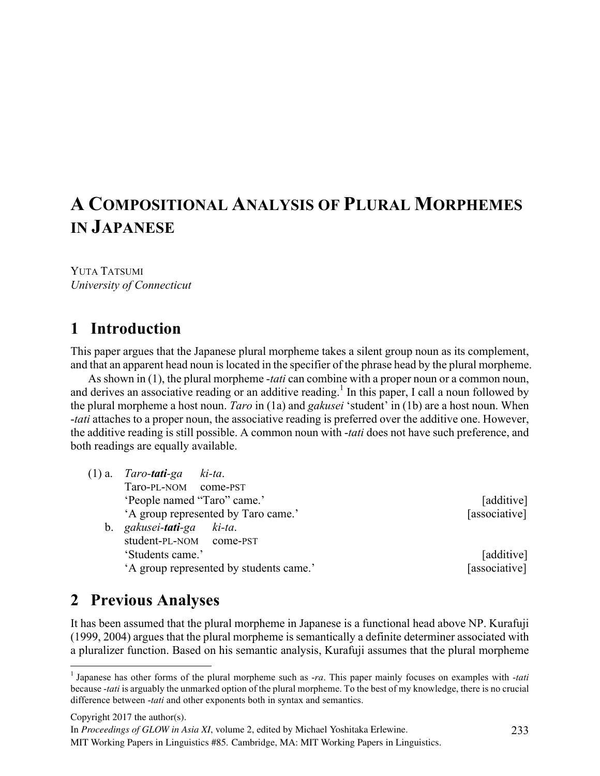# **A COMPOSITIONAL ANALYSIS OF PLURAL MORPHEMES IN JAPANESE**

YUTA TATSUMI *University of Connecticut*

### **1** Introduction

This paper argues that the Japanese plural morpheme takes a silent group noun as its complement, and that an apparent head noun is located in the specifier of the phrase head by the plural morpheme.

As shown in (1), the plural morpheme -*tati* can combine with a proper noun or a common noun, and derives an associative reading or an additive reading.<sup>1</sup> In this paper, I call a noun followed by the plural morpheme a host noun. *Taro* in (1a) and *gakusei* 'student' in (1b) are a host noun. When -*tati* attaches to a proper noun, the associative reading is preferred over the additive one. However, the additive reading is still possible. A common noun with -*tati* does not have such preference, and both readings are equally available.

- (1) a. *Taro-tati-ga ki-ta*. Taro-PL-NOM come-PST 'People named "Taro" came.' [additive] A group represented by Taro came.' [associative] b. *gakusei-tati-ga ki-ta*. student-PL-NOM come-PST
	-

'Students came.' [additive] A group represented by students came.' [associative]

## 2 Previous Analyses

It has been assumed that the plural morpheme in Japanese is a functional head above NP. Kurafuji (1999, 2004) argues that the plural morpheme is semantically a definite determiner associated with a pluralizer function. Based on his semantic analysis, Kurafuji assumes that the plural morpheme

Copyright 2017 the author(s).

In *Proceedings of GLOW in Asia XI*, volume 2, edited by Michael Yoshitaka Erlewine.

MIT Working Papers in Linguistics #85. Cambridge, MA: MIT Working Papers in Linguistics.

 <sup>1</sup> Japanese has other forms of the plural morpheme such as -*ra*. This paper mainly focuses on examples with -*tati* because -*tati* is arguably the unmarked option of the plural morpheme. To the best of my knowledge, there is no crucial difference between -*tati* and other exponents both in syntax and semantics.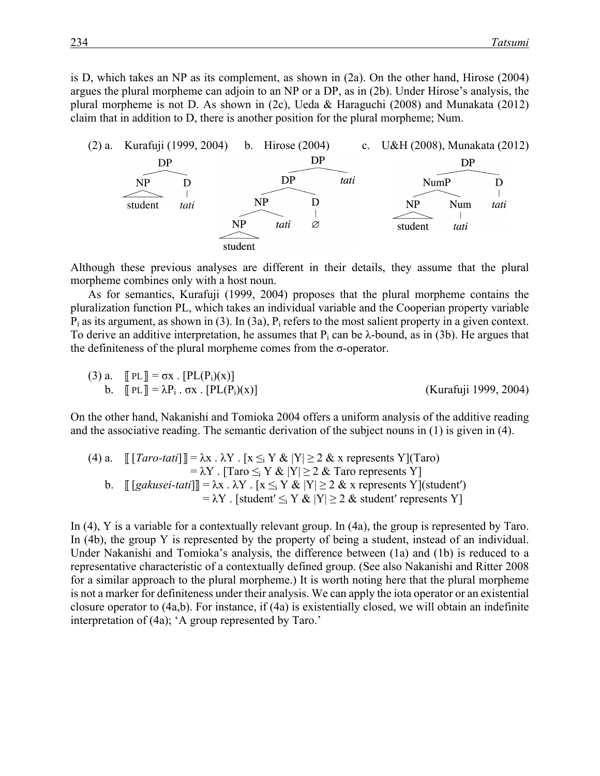is D, which takes an NP as its complement, as shown in (2a). On the other hand, Hirose (2004) argues the plural morpheme can adjoin to an NP or a DP, as in (2b). Under Hirose's analysis, the plural morpheme is not D. As shown in (2c), Ueda & Haraguchi (2008) and Munakata (2012) claim that in addition to D, there is another position for the plural morpheme; Num.



Although these previous analyses are different in their details, they assume that the plural morpheme combines only with a host noun.

As for semantics, Kurafuji (1999, 2004) proposes that the plural morpheme contains the pluralization function PL, which takes an individual variable and the Cooperian property variable  $P_i$  as its argument, as shown in (3). In (3a),  $P_i$  refers to the most salient property in a given context. To derive an additive interpretation, he assumes that  $P_i$  can be  $\lambda$ -bound, as in (3b). He argues that the definiteness of the plural morpheme comes from the  $\sigma$ -operator.

(3) a. 
$$
[PL] = \sigma X . [PL(P_i)(X)]
$$
  
b. 
$$
[PL] = \lambda P_i . \sigma X . [PL(P_i)(X)]
$$
  
(Kurafuji 1999, 2004)

On the other hand, Nakanishi and Tomioka 2004 offers a uniform analysis of the additive reading and the associative reading. The semantic derivation of the subject nouns in (1) is given in (4).

\n- (4) a. 
$$
[[[Taro-tati]]] = \lambda x \cdot \lambda Y \cdot [x \leq_i Y \& |Y| \geq 2 \& x
$$
 represents  $Y](Taro) = \lambda Y \cdot [Taro \leq_i Y \& |Y| \geq 2 \& Taro$  represents  $Y]$
\n- b.  $[[[gakusei-tati]]] = \lambda x \cdot \lambda Y \cdot [x \leq_i Y \& |Y| \geq 2 \& x$  represents  $Y](student)$  $= \lambda Y \cdot [student' \leq_i Y \& |Y| \geq 2 \& student'$  represents  $Y]$
\n

In (4), Y is a variable for a contextually relevant group. In (4a), the group is represented by Taro. In (4b), the group Y is represented by the property of being a student, instead of an individual. Under Nakanishi and Tomioka's analysis, the difference between (1a) and (1b) is reduced to a representative characteristic of a contextually defined group. (See also Nakanishi and Ritter 2008 for a similar approach to the plural morpheme.) It is worth noting here that the plural morpheme is not a marker for definiteness under their analysis. We can apply the iota operator or an existential closure operator to (4a,b). For instance, if (4a) is existentially closed, we will obtain an indefinite interpretation of (4a); 'A group represented by Taro.'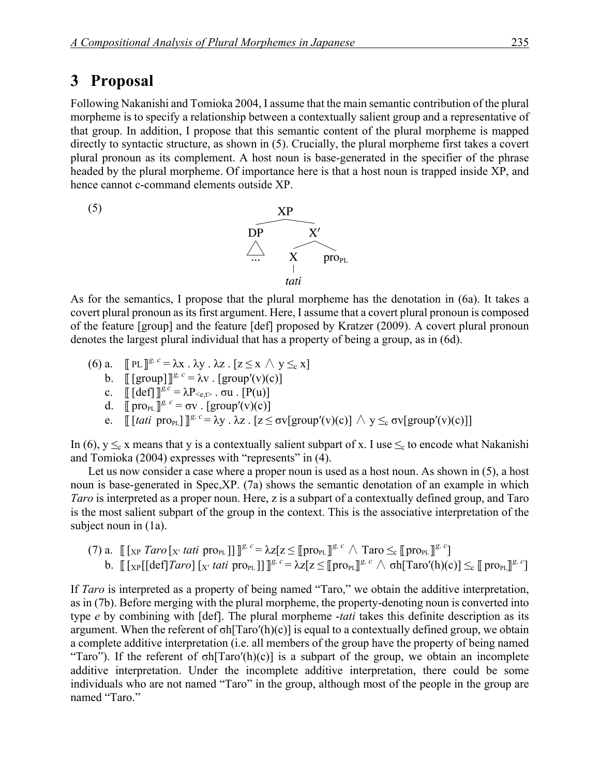### 3 Proposal

Following Nakanishi and Tomioka 2004, I assume that the main semantic contribution of the plural morpheme is to specify a relationship between a contextually salient group and a representative of that group. In addition, I propose that this semantic content of the plural morpheme is mapped directly to syntactic structure, as shown in (5). Crucially, the plural morpheme first takes a covert plural pronoun as its complement. A host noun is base-generated in the specifier of the phrase headed by the plural morpheme. Of importance here is that a host noun is trapped inside XP, and hence cannot c-command elements outside XP.



As for the semantics, I propose that the plural morpheme has the denotation in (6a). It takes a covert plural pronoun as its first argument. Here, I assume that a covert plural pronoun is composed of the feature [group] and the feature [def] proposed by Kratzer (2009). A covert plural pronoun denotes the largest plural individual that has a property of being a group, as in (6d).

- (6) a.  $[\![ \text{PL} ]\!]^{g, c} = \lambda x \cdot \lambda y \cdot \lambda z \cdot [z \leq x \wedge y \leq_c x]$ 
	- b.  $[[\text{group}]]^g$ ,  $c = \lambda v$ .  $[\text{group}'(v)(c)]$
	- c.  $[[\text{def}]]^{\mathcal{G},\mathcal{C}} = \lambda P_{\leq \mathcal{C},\mathcal{C}}$ .  $\sigma u$ .  $[P(u)]$
	- d.  $[proj]^{g, c} = \sigma v \cdot [group'(v)(c)]$
	- e.  $[[ [tati \text{ pro}_{PL}] ]^{g, c} = \lambda y$ .  $\lambda z$ .  $[z \leq \sigma v[group'(v)(c)] \wedge y \leq_c \sigma v[group'(v)(c)]]$

In (6),  $y \leq_c x$  means that y is a contextually salient subpart of x. I use  $\leq_c$  to encode what Nakanishi and Tomioka (2004) expresses with "represents" in (4).

Let us now consider a case where a proper noun is used as a host noun. As shown in (5), a host noun is base-generated in Spec,XP. (7a) shows the semantic denotation of an example in which *Taro* is interpreted as a proper noun. Here, z is a subpart of a contextually defined group, and Taro is the most salient subpart of the group in the context. This is the associative interpretation of the subject noun in (1a).

(7) a.  $\llbracket [ \xrightarrow[\text{XP}]} \text{Z} \text{Var} \{ \text{Var} \{ \text{Var} \} ] \} \rrbracket^{\text{g}, c} = \lambda z [z \leq \llbracket \text{pro}_{\text{PL}} \rrbracket^{\text{g}, c} \wedge \text{Tr} \{ \text{Var} \{ \text{Var} \} \}^{\text{g}, c} ]$ b.  $[[ [x] [def] *Taro* ] [x' *tati* pro<sub>PL</sub> ]]  $\mathbb{I}^{g, c} = \lambda z[z \leq [[pro_{PL}]]^{g, c} \wedge \sigma h[Taro'(h)(c)] \leq_c [[pro_{PL}]]^{g, c}]$$ 

If *Taro* is interpreted as a property of being named "Taro," we obtain the additive interpretation, as in (7b). Before merging with the plural morpheme, the property-denoting noun is converted into type *e* by combining with [def]. The plural morpheme -*tati* takes this definite description as its argument. When the referent of  $\sigma h[Taro'(h)(c)]$  is equal to a contextually defined group, we obtain a complete additive interpretation (i.e. all members of the group have the property of being named "Taro"). If the referent of  $\sigma h$ [Taro'(h)(c)] is a subpart of the group, we obtain an incomplete additive interpretation. Under the incomplete additive interpretation, there could be some individuals who are not named "Taro" in the group, although most of the people in the group are named "Taro."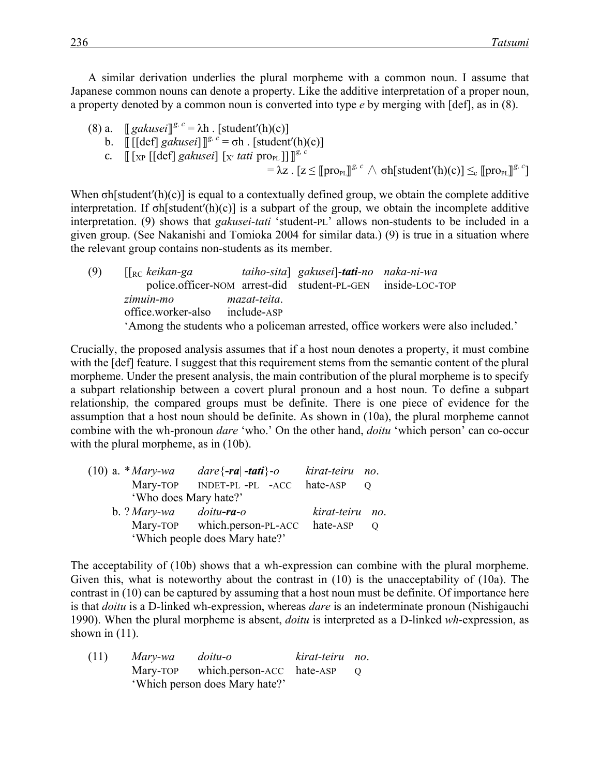A similar derivation underlies the plural morpheme with a common noun. I assume that Japanese common nouns can denote a property. Like the additive interpretation of a proper noun, a property denoted by a common noun is converted into type *e* by merging with [def], as in (8).

- (8) a.  $[[\text{gakusei}]]^{g, c} = \lambda h$ . [student'(h)(c)]
	- b.  $[[[\text{def}] \, \text{gakusei}] \, ]^g$ ,  $c = \sigma h$ . [student'(h)(c)]
	- c.  $\left[\left[\begin{smallmatrix} \overline{X} & \overline{P} \\ \overline{X} & P \end{smallmatrix}\right][\begin{smallmatrix} \overline{Q} & \overline{Q} \\ \overline{Q} & \overline{Q} \end{smallmatrix}\right][\begin{smallmatrix} \overline{Q} & \overline{Q} \\ \overline{Q} & \overline{Q} \end{smallmatrix}\right][\left[\begin{smallmatrix} \overline{X} & \overline{Q} & \overline{Q} \\ \overline{Q} & \overline{Q} & \overline{Q} \end{smallmatrix}\right][\left[\begin{smallmatrix} \overline{X} & \overline{Q} & \overline{Q} \\ \overline{Q} & \over$

 $= \lambda z$ .  $[z \leq [\![ \text{pro}_{PL} ]\!]^{g, c} \wedge \text{oh}[\text{student}'(h)(c)] \leq_c [\![ \text{pro}_{PL} ]\!]^{g, c}]$ 

When  $\sigma$ h[student'(h)(c)] is equal to a contextually defined group, we obtain the complete additive interpretation. If  $\sigma h[\text{student}'(h)(c)]$  is a subpart of the group, we obtain the incomplete additive interpretation. (9) shows that *gakusei-tati* 'student-PL' allows non-students to be included in a given group. (See Nakanishi and Tomioka 2004 for similar data.) (9) is true in a situation where the relevant group contains non-students as its member.

(9) [[RC *keikan-ga taiho-sita*] *gakusei*]-*tati-no naka-ni-wa* police.officer-NOM arrest-did student-PL-GEN inside-LOC-TOP *zimuin-mo mazat-teita*. office.worker-also include-ASP 'Among the students who a policeman arrested, office workers were also included.'

Crucially, the proposed analysis assumes that if a host noun denotes a property, it must combine with the  $\lceil det \rceil$  feature. I suggest that this requirement stems from the semantic content of the plural morpheme. Under the present analysis, the main contribution of the plural morpheme is to specify a subpart relationship between a covert plural pronoun and a host noun. To define a subpart relationship, the compared groups must be definite. There is one piece of evidence for the assumption that a host noun should be definite. As shown in (10a), the plural morpheme cannot combine with the wh-pronoun *dare* 'who.' On the other hand, *doitu* 'which person' can co-occur with the plural morpheme, as in  $(10b)$ .

|  | $(10)$ a. * <i>Mary-wa</i>     |                            | kirat-teiru no. |         |
|--|--------------------------------|----------------------------|-----------------|---------|
|  | Mary-TOP                       | INDET-PL -PL -ACC hate-ASP |                 |         |
|  | 'Who does Mary hate?'          |                            |                 |         |
|  | $b. ?$ Mary-wa                 | doitu <b>-ra</b> -o        | kirat-teiru     | $n_{O}$ |
|  | Mary-TOP which.person-PL-ACC   | hate-ASP                   | $\Omega$        |         |
|  | 'Which people does Mary hate?' |                            |                 |         |

The acceptability of (10b) shows that a wh-expression can combine with the plural morpheme. Given this, what is noteworthy about the contrast in (10) is the unacceptability of (10a). The contrast in (10) can be captured by assuming that a host noun must be definite. Of importance here is that *doitu* is a D-linked wh-expression, whereas *dare* is an indeterminate pronoun (Nishigauchi 1990). When the plural morpheme is absent, *doitu* is interpreted as a D-linked *wh*-expression, as shown in  $(11)$ .

| (11) | Mary-wa | doitu-o                            | kirat-teiru no. |            |
|------|---------|------------------------------------|-----------------|------------|
|      |         | Mary-TOP which.person-ACC hate-ASP |                 | $\bigcirc$ |
|      |         | 'Which person does Mary hate?'     |                 |            |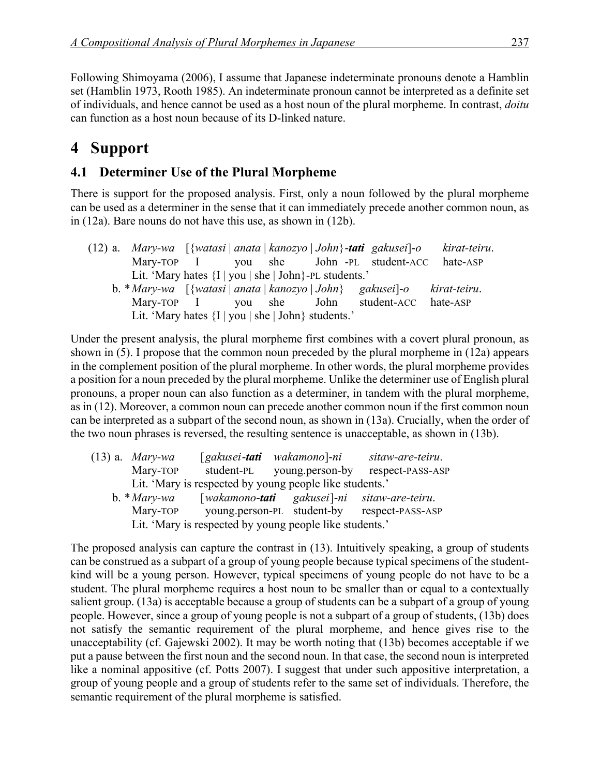Following Shimoyama (2006), I assume that Japanese indeterminate pronouns denote a Hamblin set (Hamblin 1973, Rooth 1985). An indeterminate pronoun cannot be interpreted as a definite set of individuals, and hence cannot be used as a host noun of the plural morpheme. In contrast, *doitu* can function as a host noun because of its D-linked nature.

## 4 Support

### **4.1 Determiner Use of the Plural Morpheme**

There is support for the proposed analysis. First, only a noun followed by the plural morpheme can be used as a determiner in the sense that it can immediately precede another common noun, as in (12a). Bare nouns do not have this use, as shown in (12b).

|  |                                                          |  |  | (12) a. Mary-wa [{watasi anata kanozyo John}-tati gakusei]-o                                                                        | kirat-teiru. |
|--|----------------------------------------------------------|--|--|-------------------------------------------------------------------------------------------------------------------------------------|--------------|
|  |                                                          |  |  | Mary-TOP I you she John -PL student-ACC                                                                                             | hate-ASP     |
|  | Lit. 'Mary hates ${I   you   she   John}$ -PL students.' |  |  |                                                                                                                                     |              |
|  |                                                          |  |  | b. * Mary-wa $\left[\{\text{watasi} \mid \text{anata} \mid \text{kanozyo} \mid \text{John}\}$ gakusei $\left]-o\right$ kirat-teiru. |              |
|  | Mary-TOP I you she John                                  |  |  | student-ACC hate-ASP                                                                                                                |              |
|  | Lit. 'Mary hates ${I   you   she   John}$ students.'     |  |  |                                                                                                                                     |              |

Under the present analysis, the plural morpheme first combines with a covert plural pronoun, as shown in (5). I propose that the common noun preceded by the plural morpheme in (12a) appears in the complement position of the plural morpheme. In other words, the plural morpheme provides a position for a noun preceded by the plural morpheme. Unlike the determiner use of English plural pronouns, a proper noun can also function as a determiner, in tandem with the plural morpheme, as in (12). Moreover, a common noun can precede another common noun if the first common noun can be interpreted as a subpart of the second noun, as shown in (13a). Crucially, when the order of the two noun phrases is reversed, the resulting sentence is unacceptable, as shown in (13b).

| $(13)$ a. <i>Mary-wa</i>                                | $[gakusei-tati]$                                        | wakamono]-ni               | sitaw-are-teiru.                            |  |  |
|---------------------------------------------------------|---------------------------------------------------------|----------------------------|---------------------------------------------|--|--|
| Mary-TOP                                                | student-PL                                              | young.person-by            | respect-PASS-ASP                            |  |  |
| Lit. 'Mary is respected by young people like students.' |                                                         |                            |                                             |  |  |
| $b. * Mary-wa$                                          |                                                         |                            | [wakamono-tati gakusei]-ni sitaw-are-teiru. |  |  |
| Mary-TOP                                                |                                                         | young.person-PL student-by | respect-PASS-ASP                            |  |  |
|                                                         | Lit. 'Mary is respected by young people like students.' |                            |                                             |  |  |

The proposed analysis can capture the contrast in (13). Intuitively speaking, a group of students can be construed as a subpart of a group of young people because typical specimens of the studentkind will be a young person. However, typical specimens of young people do not have to be a student. The plural morpheme requires a host noun to be smaller than or equal to a contextually salient group. (13a) is acceptable because a group of students can be a subpart of a group of young people. However, since a group of young people is not a subpart of a group of students, (13b) does not satisfy the semantic requirement of the plural morpheme, and hence gives rise to the unacceptability (cf. Gajewski 2002). It may be worth noting that (13b) becomes acceptable if we put a pause between the first noun and the second noun. In that case, the second noun is interpreted like a nominal appositive (cf. Potts 2007). I suggest that under such appositive interpretation, a group of young people and a group of students refer to the same set of individuals. Therefore, the semantic requirement of the plural morpheme is satisfied.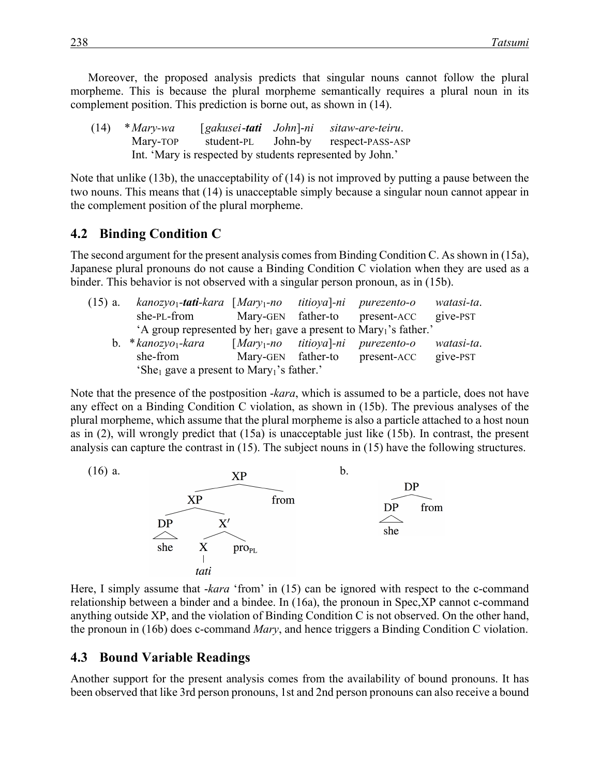Moreover, the proposed analysis predicts that singular nouns cannot follow the plural morpheme. This is because the plural morpheme semantically requires a plural noun in its complement position. This prediction is borne out, as shown in (14).

(14) \**Mary-wa* [*gakusei*-*tati John*]-*ni sitaw-are-teiru*. Mary-TOP student-PL John-by respect-PASS-ASP Int. 'Mary is respected by students represented by John.'

Note that unlike (13b), the unacceptability of (14) is not improved by putting a pause between the two nouns. This means that (14) is unacceptable simply because a singular noun cannot appear in the complement position of the plural morpheme.

#### **4.2 Binding Condition C**

The second argument for the present analysis comes from Binding Condition C. As shown in (15a), Japanese plural pronouns do not cause a Binding Condition C violation when they are used as a binder. This behavior is not observed with a singular person pronoun, as in (15b).

| $(15)$ a. | $kanozyo_1$ -tati-kara [Mary <sub>1</sub> -no]                                           |                         | titioya]-ni | purezento-o                    | watasi-ta. |
|-----------|------------------------------------------------------------------------------------------|-------------------------|-------------|--------------------------------|------------|
|           | she-PL-from                                                                              |                         |             | Mary-GEN father-to present-ACC | give-PST   |
|           | 'A group represented by her <sub>1</sub> gave a present to Mary <sub>1</sub> 's father.' |                         |             |                                |            |
|           | b. $*kanozyo1$ - <i>kara</i>                                                             | $[Mary1-no$ titioya]-ni |             | purezento-o                    | watasi-ta. |
|           | she-from                                                                                 | Mary-GEN father-to      |             | present-ACC                    | give-PST   |
|           | 'She <sub>1</sub> gave a present to Mary <sub>1</sub> 's father.'                        |                         |             |                                |            |

Note that the presence of the postposition -*kara*, which is assumed to be a particle, does not have any effect on a Binding Condition C violation, as shown in (15b). The previous analyses of the plural morpheme, which assume that the plural morpheme is also a particle attached to a host noun as in (2), will wrongly predict that (15a) is unacceptable just like (15b). In contrast, the present analysis can capture the contrast in (15). The subject nouns in (15) have the following structures.



Here, I simply assume that *-kara* 'from' in (15) can be ignored with respect to the c-command relationship between a binder and a bindee. In (16a), the pronoun in Spec,XP cannot c-command anything outside XP, and the violation of Binding Condition C is not observed. On the other hand, the pronoun in (16b) does c-command *Mary*, and hence triggers a Binding Condition C violation.

#### **4.3 Bound Variable Readings**

Another support for the present analysis comes from the availability of bound pronouns. It has been observed that like 3rd person pronouns, 1st and 2nd person pronouns can also receive a bound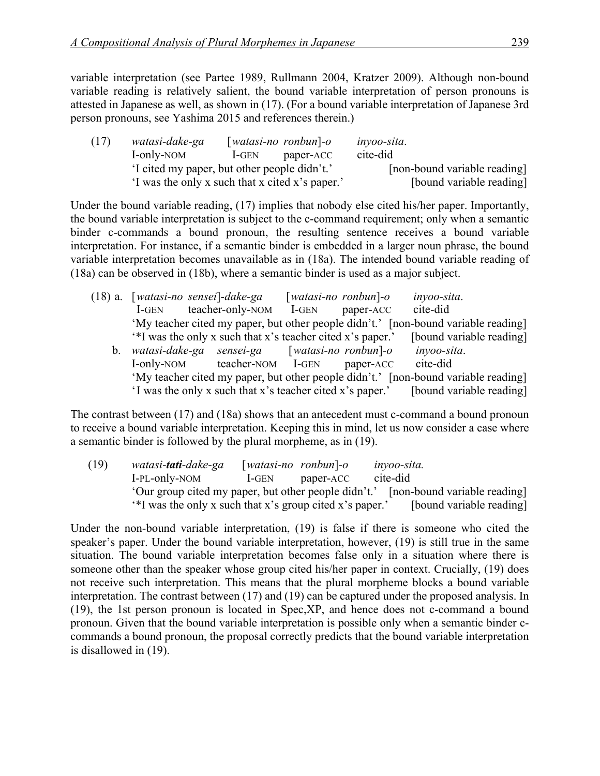variable interpretation (see Partee 1989, Rullmann 2004, Kratzer 2009). Although non-bound variable reading is relatively salient, the bound variable interpretation of person pronouns is attested in Japanese as well, as shown in (17). (For a bound variable interpretation of Japanese 3rd person pronouns, see Yashima 2015 and references therein.)

| (17) | watasi-dake-ga                                  |         | $[watasi-no$ ronbun $]-o$    | <i>invoo-sita.</i> |
|------|-------------------------------------------------|---------|------------------------------|--------------------|
|      | I-only-NOM                                      | $1-GEN$ | paper-ACC                    | cite-did           |
|      | I cited my paper, but other people didn't.'     |         | [non-bound variable reading] |                    |
|      | 'I was the only x such that x cited x's paper.' |         | [bound variable reading]     |                    |

Under the bound variable reading, (17) implies that nobody else cited his/her paper. Importantly, the bound variable interpretation is subject to the c-command requirement; only when a semantic binder c-commands a bound pronoun, the resulting sentence receives a bound variable interpretation. For instance, if a semantic binder is embedded in a larger noun phrase, the bound variable interpretation becomes unavailable as in (18a). The intended bound variable reading of (18a) can be observed in (18b), where a semantic binder is used as a major subject.

|         | (18) a. [watasi-no sensei]-dake-ga                         |                        | $[watasi-no$ ronbun $]-o$ | inyoo-sita.                                                                        |
|---------|------------------------------------------------------------|------------------------|---------------------------|------------------------------------------------------------------------------------|
|         | <b>I-GEN</b>                                               | teacher-only-NOM I-GEN | paper-ACC                 | cite-did                                                                           |
|         |                                                            |                        |                           | 'My teacher cited my paper, but other people didn't.' [non-bound variable reading] |
|         | '*I was the only x such that x's teacher cited x's paper.' |                        |                           | [bound variable reading]                                                           |
| $b_{-}$ | watasi-dake-ga sensei-ga [watasi-no ronbun]-o              |                        |                           | inyoo-sita.                                                                        |
|         | I-only-NOM teacher-NOM I-GEN                               |                        | paper-ACC                 | cite-did                                                                           |
|         |                                                            |                        |                           | 'My teacher cited my paper, but other people didn't.' [non-bound variable reading] |
|         | 'I was the only x such that x's teacher cited x's paper.'  |                        |                           | [bound variable reading]                                                           |

The contrast between (17) and (18a) shows that an antecedent must c-command a bound pronoun to receive a bound variable interpretation. Keeping this in mind, let us now consider a case where a semantic binder is followed by the plural morpheme, as in (19).

(19) *watasi-tati-dake-ga* [*watasi-no ronbun*]*-o inyoo-sita.* I-PL-only-NOM I-GEN paper-ACC cite-did 'Our group cited my paper, but other people didn't.' [non-bound variable reading] '\*I was the only x such that x's group cited x's paper.' [bound variable reading]

Under the non-bound variable interpretation, (19) is false if there is someone who cited the speaker's paper. Under the bound variable interpretation, however, (19) is still true in the same situation. The bound variable interpretation becomes false only in a situation where there is someone other than the speaker whose group cited his/her paper in context. Crucially, (19) does not receive such interpretation. This means that the plural morpheme blocks a bound variable interpretation. The contrast between (17) and (19) can be captured under the proposed analysis. In (19), the 1st person pronoun is located in Spec,XP, and hence does not c-command a bound pronoun. Given that the bound variable interpretation is possible only when a semantic binder ccommands a bound pronoun, the proposal correctly predicts that the bound variable interpretation is disallowed in (19).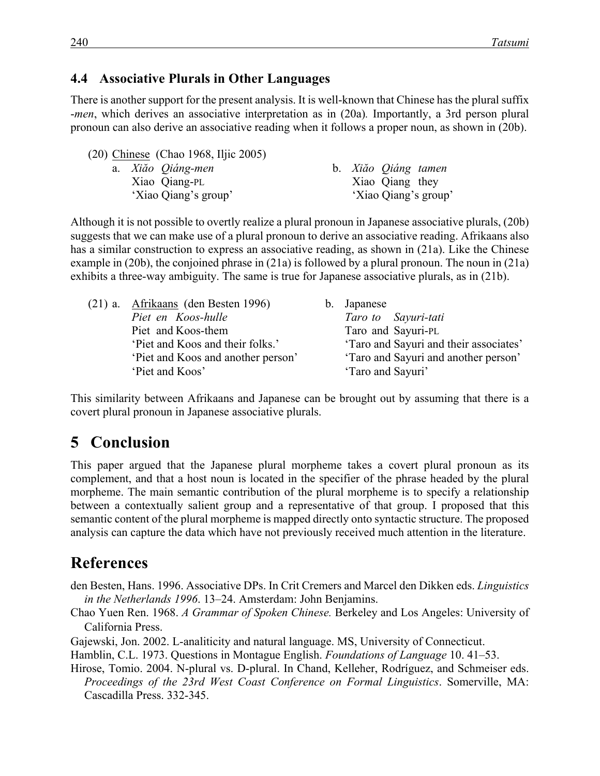#### **4.4**xx**Associative Plurals in Other Languages**

There is another support for the present analysis. It is well-known that Chinese has the plural suffix -*men*, which derives an associative interpretation as in (20a)*.* Importantly, a 3rd person plural pronoun can also derive an associative reading when it follows a proper noun, as shown in (20b).

|  | (20) Chinese (Chao 1968, Iljic 2005) |  |                     |                      |
|--|--------------------------------------|--|---------------------|----------------------|
|  | a. Xiăo Qiáng-men                    |  | b. Xiăo Qiáng tamen |                      |
|  | Xiao Qiang-PL                        |  | Xiao Qiang they     |                      |
|  | 'Xiao Qiang's group'                 |  |                     | 'Xiao Qiang's group' |
|  |                                      |  |                     |                      |

Although it is not possible to overtly realize a plural pronoun in Japanese associative plurals, (20b) suggests that we can make use of a plural pronoun to derive an associative reading. Afrikaans also has a similar construction to express an associative reading, as shown in (21a). Like the Chinese example in (20b), the conjoined phrase in (21a) is followed by a plural pronoun. The noun in (21a) exhibits a three-way ambiguity. The same is true for Japanese associative plurals, as in (21b).

|                                   | b. Japanese                            |
|-----------------------------------|----------------------------------------|
|                                   | Taro to Sayuri-tati                    |
|                                   | Taro and Sayuri-PL                     |
|                                   | 'Taro and Sayuri and their associates' |
| Piet and Koos and another person' | 'Taro and Sayuri and another person'   |
|                                   | 'Taro and Sayuri'                      |
|                                   |                                        |

This similarity between Afrikaans and Japanese can be brought out by assuming that there is a covert plural pronoun in Japanese associative plurals.

### **5** Conclusion

This paper argued that the Japanese plural morpheme takes a covert plural pronoun as its complement, and that a host noun is located in the specifier of the phrase headed by the plural morpheme. The main semantic contribution of the plural morpheme is to specify a relationship between a contextually salient group and a representative of that group. I proposed that this semantic content of the plural morpheme is mapped directly onto syntactic structure. The proposed analysis can capture the data which have not previously received much attention in the literature.

### **References**

den Besten, Hans. 1996. Associative DPs. In Crit Cremers and Marcel den Dikken eds. *Linguistics in the Netherlands 1996*. 13–24. Amsterdam: John Benjamins.

Chao Yuen Ren. 1968. *A Grammar of Spoken Chinese.* Berkeley and Los Angeles: University of California Press.

Gajewski, Jon. 2002. L-analiticity and natural language. MS, University of Connecticut.

Hamblin, C.L. 1973. Questions in Montague English. *Foundations of Language* 10. 41–53.

Hirose, Tomio. 2004. N-plural vs. D-plural. In Chand, Kelleher, Rodríguez, and Schmeiser eds. *Proceedings of the 23rd West Coast Conference on Formal Linguistics*. Somerville, MA: Cascadilla Press. 332-345.